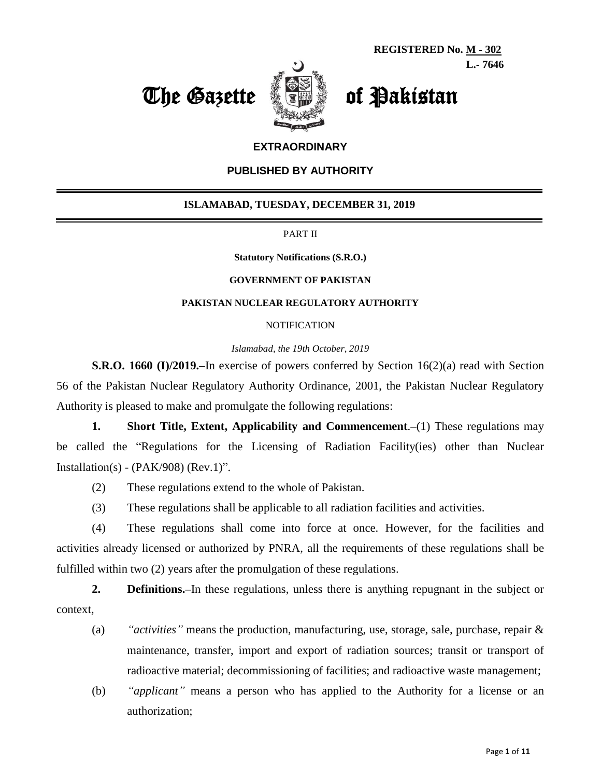



#### **EXTRAORDINARY**

#### **PUBLISHED BY AUTHORITY**

#### **ISLAMABAD, TUESDAY, DECEMBER 31, 2019**

PART II

**Statutory Notifications (S.R.O.)**

#### **GOVERNMENT OF PAKISTAN**

#### **PAKISTAN NUCLEAR REGULATORY AUTHORITY**

#### **NOTIFICATION**

*Islamabad, the 19th October, 2019*

**S.R.O. 1660 (I)/2019.–**In exercise of powers conferred by Section 16(2)(a) read with Section 56 of the Pakistan Nuclear Regulatory Authority Ordinance, 2001, the Pakistan Nuclear Regulatory Authority is pleased to make and promulgate the following regulations:

**1. Short Title, Extent, Applicability and Commencement**.**–**(1) These regulations may be called the "Regulations for the Licensing of Radiation Facility(ies) other than Nuclear Installation(s) - ( $PAK/908$ ) ( $Rev.1$ )".

- (2) These regulations extend to the whole of Pakistan.
- (3) These regulations shall be applicable to all radiation facilities and activities.

(4) These regulations shall come into force at once. However, for the facilities and activities already licensed or authorized by PNRA, all the requirements of these regulations shall be fulfilled within two (2) years after the promulgation of these regulations.

**2. Definitions.–**In these regulations, unless there is anything repugnant in the subject or context,

- (a) *"activities"* means the production, manufacturing, use, storage, sale, purchase, repair & maintenance, transfer, import and export of radiation sources; transit or transport of radioactive material; decommissioning of facilities; and radioactive waste management;
- (b) *"applicant"* means a person who has applied to the Authority for a license or an authorization;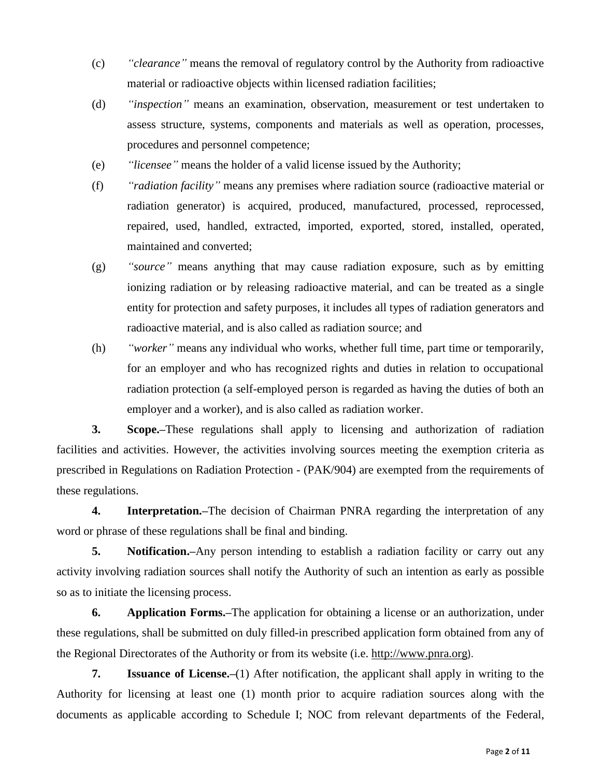- (c) *"clearance"* means the removal of regulatory control by the Authority from radioactive material or radioactive objects within licensed radiation facilities;
- (d) *"inspection"* means an examination, observation, measurement or test undertaken to assess structure, systems, components and materials as well as operation, processes, procedures and personnel competence;
- (e) *"licensee"* means the holder of a valid license issued by the Authority;
- (f) *"radiation facility"* means any premises where radiation source (radioactive material or radiation generator) is acquired, produced, manufactured, processed, reprocessed, repaired, used, handled, extracted, imported, exported, stored, installed, operated, maintained and converted;
- (g) *"source"* means anything that may cause radiation exposure, such as by emitting ionizing radiation or by releasing radioactive material, and can be treated as a single entity for protection and safety purposes, it includes all types of radiation generators and radioactive material, and is also called as radiation source; and
- (h) *"worker"* means any individual who works, whether full time, part time or temporarily, for an employer and who has recognized rights and duties in relation to occupational radiation protection (a self-employed person is regarded as having the duties of both an employer and a worker), and is also called as radiation worker.

**3. Scope.–**These regulations shall apply to licensing and authorization of radiation facilities and activities. However, the activities involving sources meeting the exemption criteria as prescribed in Regulations on Radiation Protection - (PAK/904) are exempted from the requirements of these regulations.

**4. Interpretation.–**The decision of Chairman PNRA regarding the interpretation of any word or phrase of these regulations shall be final and binding.

**5. Notification.–**Any person intending to establish a radiation facility or carry out any activity involving radiation sources shall notify the Authority of such an intention as early as possible so as to initiate the licensing process.

**6. Application Forms.–**The application for obtaining a license or an authorization, under these regulations, shall be submitted on duly filled-in prescribed application form obtained from any of the Regional Directorates of the Authority or from its website (i.e. [http://www.pnra.org](http://www.pnra.org/)).

**7. Issuance of License.–**(1) After notification, the applicant shall apply in writing to the Authority for licensing at least one (1) month prior to acquire radiation sources along with the documents as applicable according to Schedule I; NOC from relevant departments of the Federal,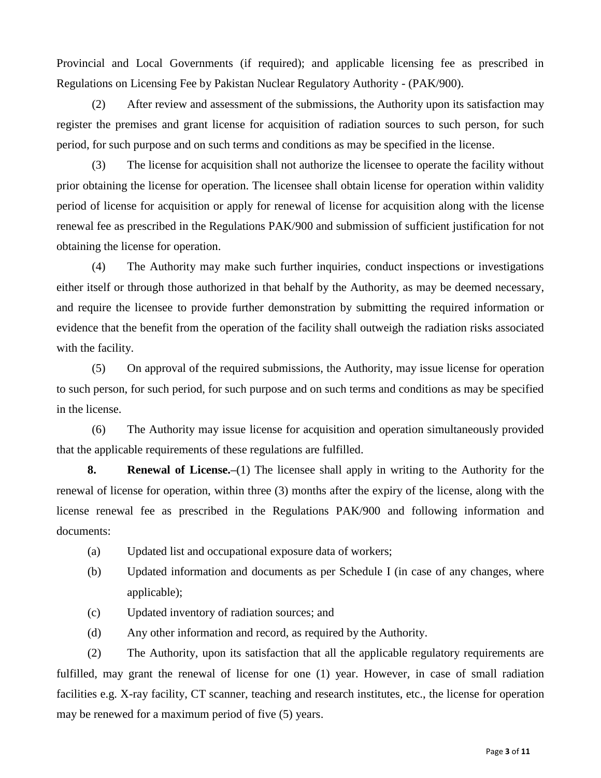Provincial and Local Governments (if required); and applicable licensing fee as prescribed in Regulations on Licensing Fee by Pakistan Nuclear Regulatory Authority - (PAK/900).

(2) After review and assessment of the submissions, the Authority upon its satisfaction may register the premises and grant license for acquisition of radiation sources to such person, for such period, for such purpose and on such terms and conditions as may be specified in the license.

(3) The license for acquisition shall not authorize the licensee to operate the facility without prior obtaining the license for operation. The licensee shall obtain license for operation within validity period of license for acquisition or apply for renewal of license for acquisition along with the license renewal fee as prescribed in the Regulations PAK/900 and submission of sufficient justification for not obtaining the license for operation.

(4) The Authority may make such further inquiries, conduct inspections or investigations either itself or through those authorized in that behalf by the Authority, as may be deemed necessary, and require the licensee to provide further demonstration by submitting the required information or evidence that the benefit from the operation of the facility shall outweigh the radiation risks associated with the facility.

(5) On approval of the required submissions, the Authority, may issue license for operation to such person, for such period, for such purpose and on such terms and conditions as may be specified in the license.

(6) The Authority may issue license for acquisition and operation simultaneously provided that the applicable requirements of these regulations are fulfilled.

**8. Renewal of License.–**(1) The licensee shall apply in writing to the Authority for the renewal of license for operation, within three (3) months after the expiry of the license, along with the license renewal fee as prescribed in the Regulations PAK/900 and following information and documents:

- (a) Updated list and occupational exposure data of workers;
- (b) Updated information and documents as per Schedule I (in case of any changes, where applicable);
- (c) Updated inventory of radiation sources; and
- (d) Any other information and record, as required by the Authority.

(2) The Authority, upon its satisfaction that all the applicable regulatory requirements are fulfilled, may grant the renewal of license for one (1) year. However, in case of small radiation facilities e.g. X-ray facility, CT scanner, teaching and research institutes, etc., the license for operation may be renewed for a maximum period of five (5) years.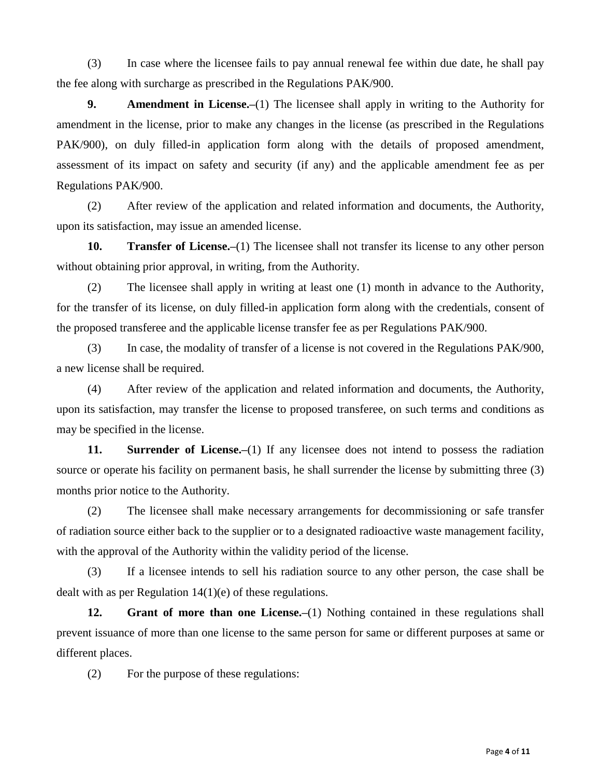(3) In case where the licensee fails to pay annual renewal fee within due date, he shall pay the fee along with surcharge as prescribed in the Regulations PAK/900.

**9. Amendment in License.–**(1) The licensee shall apply in writing to the Authority for amendment in the license, prior to make any changes in the license (as prescribed in the Regulations PAK/900), on duly filled-in application form along with the details of proposed amendment, assessment of its impact on safety and security (if any) and the applicable amendment fee as per Regulations PAK/900.

(2) After review of the application and related information and documents, the Authority, upon its satisfaction, may issue an amended license.

**10. Transfer of License.–**(1) The licensee shall not transfer its license to any other person without obtaining prior approval, in writing, from the Authority.

(2) The licensee shall apply in writing at least one (1) month in advance to the Authority, for the transfer of its license, on duly filled-in application form along with the credentials, consent of the proposed transferee and the applicable license transfer fee as per Regulations PAK/900.

(3) In case, the modality of transfer of a license is not covered in the Regulations PAK/900, a new license shall be required.

(4) After review of the application and related information and documents, the Authority, upon its satisfaction, may transfer the license to proposed transferee, on such terms and conditions as may be specified in the license.

**11.** Surrender of License.–(1) If any licensee does not intend to possess the radiation source or operate his facility on permanent basis, he shall surrender the license by submitting three (3) months prior notice to the Authority.

(2) The licensee shall make necessary arrangements for decommissioning or safe transfer of radiation source either back to the supplier or to a designated radioactive waste management facility, with the approval of the Authority within the validity period of the license.

(3) If a licensee intends to sell his radiation source to any other person, the case shall be dealt with as per Regulation 14(1)(e) of these regulations.

**12.** Grant of more than one License.—(1) Nothing contained in these regulations shall prevent issuance of more than one license to the same person for same or different purposes at same or different places.

(2) For the purpose of these regulations: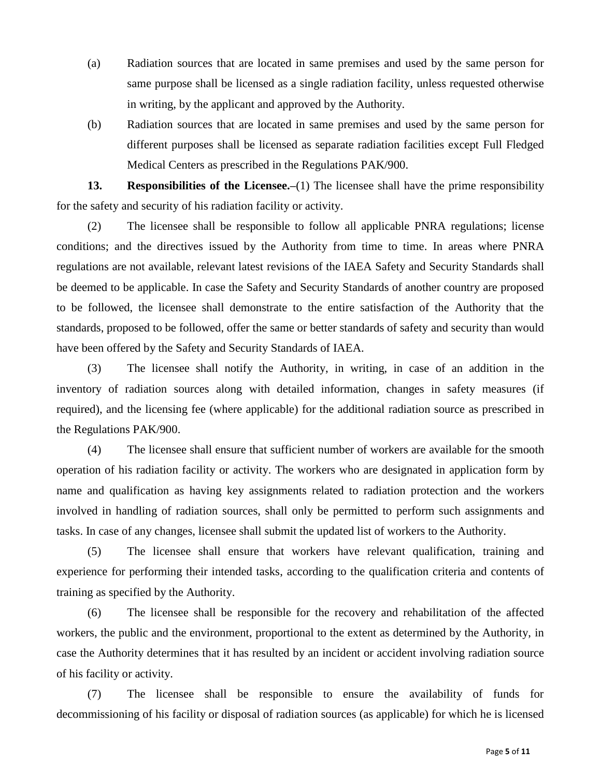- (a) Radiation sources that are located in same premises and used by the same person for same purpose shall be licensed as a single radiation facility, unless requested otherwise in writing, by the applicant and approved by the Authority.
- (b) Radiation sources that are located in same premises and used by the same person for different purposes shall be licensed as separate radiation facilities except Full Fledged Medical Centers as prescribed in the Regulations PAK/900.

**13.** Responsibilities of the Licensee.–(1) The licensee shall have the prime responsibility for the safety and security of his radiation facility or activity.

(2) The licensee shall be responsible to follow all applicable PNRA regulations; license conditions; and the directives issued by the Authority from time to time. In areas where PNRA regulations are not available, relevant latest revisions of the IAEA Safety and Security Standards shall be deemed to be applicable. In case the Safety and Security Standards of another country are proposed to be followed, the licensee shall demonstrate to the entire satisfaction of the Authority that the standards, proposed to be followed, offer the same or better standards of safety and security than would have been offered by the Safety and Security Standards of IAEA.

(3) The licensee shall notify the Authority, in writing, in case of an addition in the inventory of radiation sources along with detailed information, changes in safety measures (if required), and the licensing fee (where applicable) for the additional radiation source as prescribed in the Regulations PAK/900.

(4) The licensee shall ensure that sufficient number of workers are available for the smooth operation of his radiation facility or activity. The workers who are designated in application form by name and qualification as having key assignments related to radiation protection and the workers involved in handling of radiation sources, shall only be permitted to perform such assignments and tasks. In case of any changes, licensee shall submit the updated list of workers to the Authority.

(5) The licensee shall ensure that workers have relevant qualification, training and experience for performing their intended tasks, according to the qualification criteria and contents of training as specified by the Authority.

(6) The licensee shall be responsible for the recovery and rehabilitation of the affected workers, the public and the environment, proportional to the extent as determined by the Authority, in case the Authority determines that it has resulted by an incident or accident involving radiation source of his facility or activity.

(7) The licensee shall be responsible to ensure the availability of funds for decommissioning of his facility or disposal of radiation sources (as applicable) for which he is licensed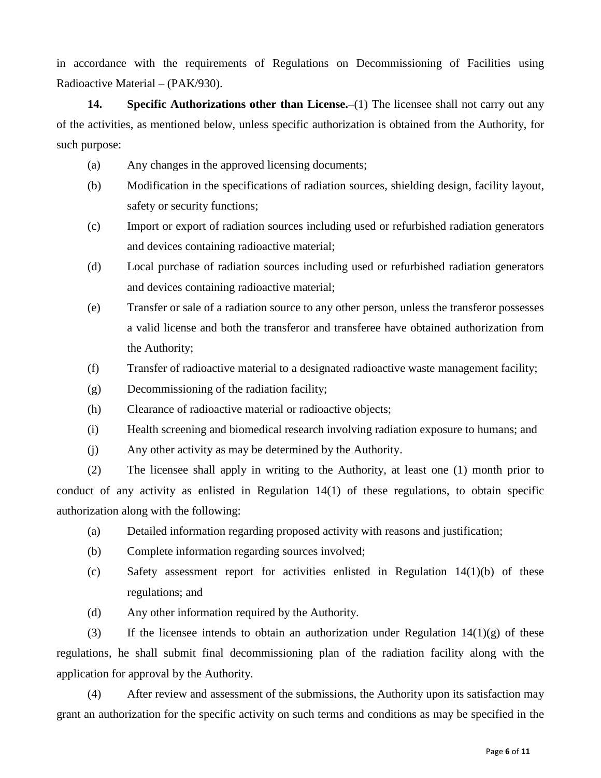in accordance with the requirements of Regulations on Decommissioning of Facilities using Radioactive Material – (PAK/930).

**14.** Specific Authorizations other than License.—(1) The licensee shall not carry out any of the activities, as mentioned below, unless specific authorization is obtained from the Authority, for such purpose:

- (a) Any changes in the approved licensing documents;
- (b) Modification in the specifications of radiation sources, shielding design, facility layout, safety or security functions;
- (c) Import or export of radiation sources including used or refurbished radiation generators and devices containing radioactive material;
- (d) Local purchase of radiation sources including used or refurbished radiation generators and devices containing radioactive material;
- (e) Transfer or sale of a radiation source to any other person, unless the transferor possesses a valid license and both the transferor and transferee have obtained authorization from the Authority;
- (f) Transfer of radioactive material to a designated radioactive waste management facility;
- (g) Decommissioning of the radiation facility;
- (h) Clearance of radioactive material or radioactive objects;
- (i) Health screening and biomedical research involving radiation exposure to humans; and
- (j) Any other activity as may be determined by the Authority.

(2) The licensee shall apply in writing to the Authority, at least one (1) month prior to conduct of any activity as enlisted in Regulation 14(1) of these regulations, to obtain specific authorization along with the following:

- (a) Detailed information regarding proposed activity with reasons and justification;
- (b) Complete information regarding sources involved;
- (c) Safety assessment report for activities enlisted in Regulation 14(1)(b) of these regulations; and
- (d) Any other information required by the Authority.

(3) If the licensee intends to obtain an authorization under Regulation  $14(1)(g)$  of these regulations, he shall submit final decommissioning plan of the radiation facility along with the application for approval by the Authority.

(4) After review and assessment of the submissions, the Authority upon its satisfaction may grant an authorization for the specific activity on such terms and conditions as may be specified in the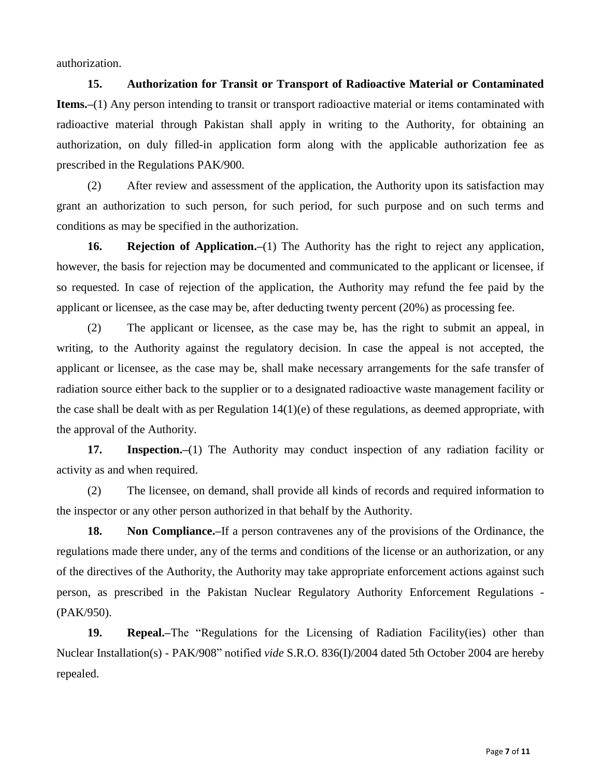authorization.

**15. Authorization for Transit or Transport of Radioactive Material or Contaminated Items.–(1)** Any person intending to transit or transport radioactive material or items contaminated with radioactive material through Pakistan shall apply in writing to the Authority, for obtaining an authorization, on duly filled-in application form along with the applicable authorization fee as prescribed in the Regulations PAK/900.

(2) After review and assessment of the application, the Authority upon its satisfaction may grant an authorization to such person, for such period, for such purpose and on such terms and conditions as may be specified in the authorization.

**16. Rejection of Application.–**(1) The Authority has the right to reject any application, however, the basis for rejection may be documented and communicated to the applicant or licensee, if so requested. In case of rejection of the application, the Authority may refund the fee paid by the applicant or licensee, as the case may be, after deducting twenty percent (20%) as processing fee.

(2) The applicant or licensee, as the case may be, has the right to submit an appeal, in writing, to the Authority against the regulatory decision. In case the appeal is not accepted, the applicant or licensee, as the case may be, shall make necessary arrangements for the safe transfer of radiation source either back to the supplier or to a designated radioactive waste management facility or the case shall be dealt with as per Regulation  $14(1)(e)$  of these regulations, as deemed appropriate, with the approval of the Authority.

17. **Inspection.**–(1) The Authority may conduct inspection of any radiation facility or activity as and when required.

(2) The licensee, on demand, shall provide all kinds of records and required information to the inspector or any other person authorized in that behalf by the Authority.

**18. Non Compliance.–**If a person contravenes any of the provisions of the Ordinance, the regulations made there under, any of the terms and conditions of the license or an authorization, or any of the directives of the Authority, the Authority may take appropriate enforcement actions against such person, as prescribed in the Pakistan Nuclear Regulatory Authority Enforcement Regulations - (PAK/950).

**19. Repeal.–**The "Regulations for the Licensing of Radiation Facility(ies) other than Nuclear Installation(s) - PAK/908" notified *vide* S.R.O. 836(I)/2004 dated 5th October 2004 are hereby repealed.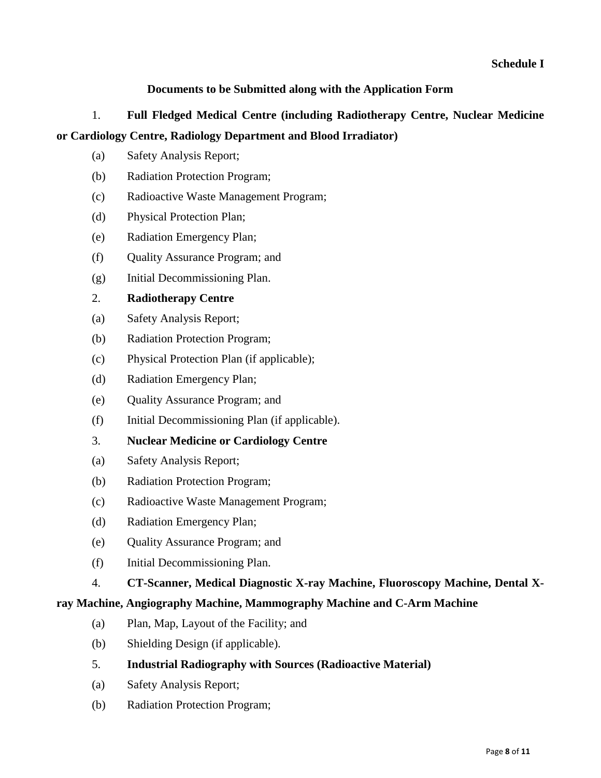# **Documents to be Submitted along with the Application Form**

# 1. **Full Fledged Medical Centre (including Radiotherapy Centre, Nuclear Medicine or Cardiology Centre, Radiology Department and Blood Irradiator)**

- (a) Safety Analysis Report;
- (b) Radiation Protection Program;
- (c) Radioactive Waste Management Program;
- (d) Physical Protection Plan;
- (e) Radiation Emergency Plan;
- (f) Quality Assurance Program; and
- (g) Initial Decommissioning Plan.

# 2. **Radiotherapy Centre**

- (a) Safety Analysis Report;
- (b) Radiation Protection Program;
- (c) Physical Protection Plan (if applicable);
- (d) Radiation Emergency Plan;
- (e) Quality Assurance Program; and
- (f) Initial Decommissioning Plan (if applicable).
- 3. **Nuclear Medicine or Cardiology Centre**
- (a) Safety Analysis Report;
- (b) Radiation Protection Program;
- (c) Radioactive Waste Management Program;
- (d) Radiation Emergency Plan;
- (e) Quality Assurance Program; and
- (f) Initial Decommissioning Plan.

### 4. **CT-Scanner, Medical Diagnostic X-ray Machine, Fluoroscopy Machine, Dental X-**

### **ray Machine, Angiography Machine, Mammography Machine and C-Arm Machine**

- (a) Plan, Map, Layout of the Facility; and
- (b) Shielding Design (if applicable).
- 5. **Industrial Radiography with Sources (Radioactive Material)**
- (a) Safety Analysis Report;
- (b) Radiation Protection Program;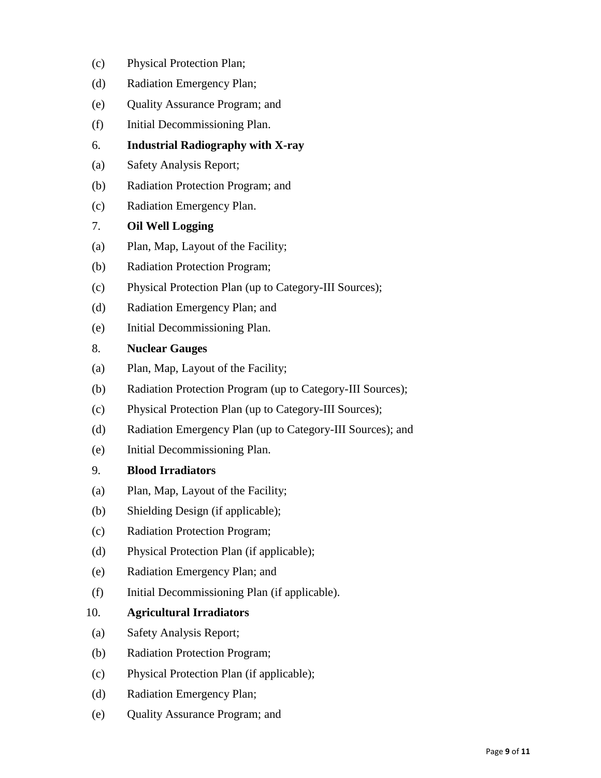- (c) Physical Protection Plan;
- (d) Radiation Emergency Plan;
- (e) Quality Assurance Program; and
- (f) Initial Decommissioning Plan.
- 6. **Industrial Radiography with X-ray**
- (a) Safety Analysis Report;
- (b) Radiation Protection Program; and
- (c) Radiation Emergency Plan.
- 7. **Oil Well Logging**
- (a) Plan, Map, Layout of the Facility;
- (b) Radiation Protection Program;
- (c) Physical Protection Plan (up to Category-III Sources);
- (d) Radiation Emergency Plan; and
- (e) Initial Decommissioning Plan.

#### 8. **Nuclear Gauges**

- (a) Plan, Map, Layout of the Facility;
- (b) Radiation Protection Program (up to Category-III Sources);
- (c) Physical Protection Plan (up to Category-III Sources);
- (d) Radiation Emergency Plan (up to Category-III Sources); and
- (e) Initial Decommissioning Plan.

#### 9. **Blood Irradiators**

- (a) Plan, Map, Layout of the Facility;
- (b) Shielding Design (if applicable);
- (c) Radiation Protection Program;
- (d) Physical Protection Plan (if applicable);
- (e) Radiation Emergency Plan; and
- (f) Initial Decommissioning Plan (if applicable).

### 10. **Agricultural Irradiators**

- (a) Safety Analysis Report;
- (b) Radiation Protection Program;
- (c) Physical Protection Plan (if applicable);
- (d) Radiation Emergency Plan;
- (e) Quality Assurance Program; and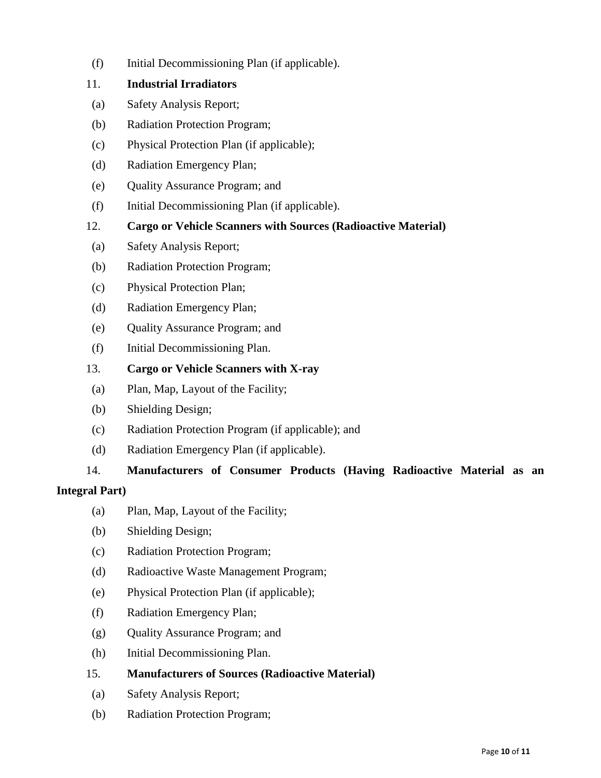(f) Initial Decommissioning Plan (if applicable).

# 11. **Industrial Irradiators**

- (a) Safety Analysis Report;
- (b) Radiation Protection Program;
- (c) Physical Protection Plan (if applicable);
- (d) Radiation Emergency Plan;
- (e) Quality Assurance Program; and
- (f) Initial Decommissioning Plan (if applicable).
- 12. **Cargo or Vehicle Scanners with Sources (Radioactive Material)**
- (a) Safety Analysis Report;
- (b) Radiation Protection Program;
- (c) Physical Protection Plan;
- (d) Radiation Emergency Plan;
- (e) Quality Assurance Program; and
- (f) Initial Decommissioning Plan.
- 13. **Cargo or Vehicle Scanners with X-ray**
- (a) Plan, Map, Layout of the Facility;
- (b) Shielding Design;
- (c) Radiation Protection Program (if applicable); and
- (d) Radiation Emergency Plan (if applicable).

# 14. **Manufacturers of Consumer Products (Having Radioactive Material as an**

### **Integral Part)**

- (a) Plan, Map, Layout of the Facility;
- (b) Shielding Design;
- (c) Radiation Protection Program;
- (d) Radioactive Waste Management Program;
- (e) Physical Protection Plan (if applicable);
- (f) Radiation Emergency Plan;
- (g) Quality Assurance Program; and
- (h) Initial Decommissioning Plan.

### 15. **Manufacturers of Sources (Radioactive Material)**

- (a) Safety Analysis Report;
- (b) Radiation Protection Program;